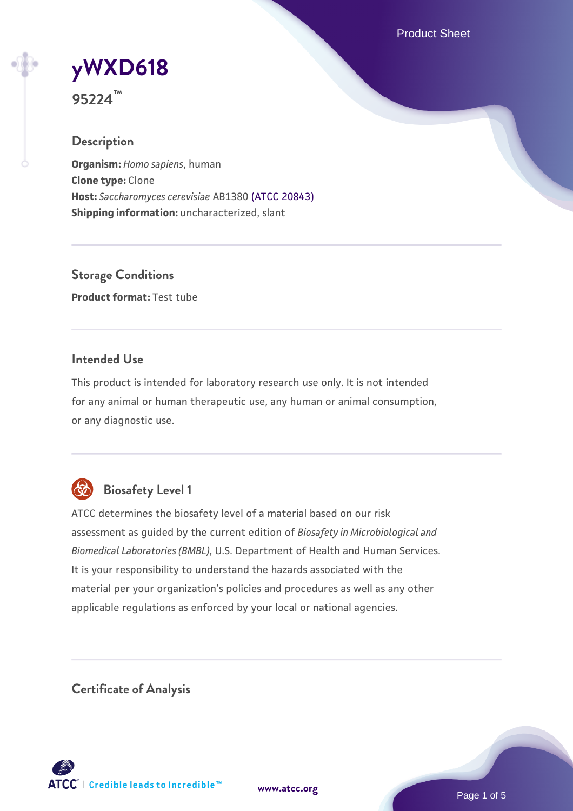Product Sheet

# **[yWXD618](https://www.atcc.org/products/95224)**

**95224™**

# **Description**

**Organism:** *Homo sapiens*, human **Clone type:** Clone **Host:** *Saccharomyces cerevisiae* AB1380 [\(ATCC 20843\)](https://www.atcc.org/products/20843) **Shipping information:** uncharacterized, slant

**Storage Conditions Product format:** Test tube

## **Intended Use**

This product is intended for laboratory research use only. It is not intended for any animal or human therapeutic use, any human or animal consumption, or any diagnostic use.



# **Biosafety Level 1**

ATCC determines the biosafety level of a material based on our risk assessment as guided by the current edition of *Biosafety in Microbiological and Biomedical Laboratories (BMBL)*, U.S. Department of Health and Human Services. It is your responsibility to understand the hazards associated with the material per your organization's policies and procedures as well as any other applicable regulations as enforced by your local or national agencies.

**Certificate of Analysis**

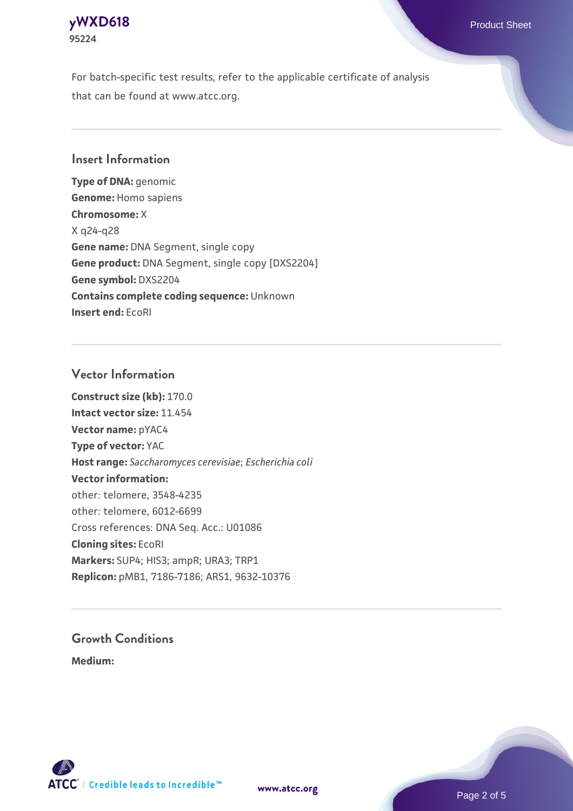

For batch-specific test results, refer to the applicable certificate of analysis that can be found at www.atcc.org.

#### **Insert Information**

**Type of DNA:** genomic **Genome:** Homo sapiens **Chromosome:** X X q24-q28 **Gene name:** DNA Segment, single copy **Gene product:** DNA Segment, single copy [DXS2204] **Gene symbol:** DXS2204 **Contains complete coding sequence:** Unknown **Insert end:** EcoRI

#### **Vector Information**

**Construct size (kb):** 170.0 **Intact vector size:** 11.454 **Vector name:** pYAC4 **Type of vector:** YAC **Host range:** *Saccharomyces cerevisiae*; *Escherichia coli* **Vector information:** other: telomere, 3548-4235 other: telomere, 6012-6699 Cross references: DNA Seq. Acc.: U01086 **Cloning sites:** EcoRI **Markers:** SUP4; HIS3; ampR; URA3; TRP1 **Replicon:** pMB1, 7186-7186; ARS1, 9632-10376

# **Growth Conditions**

**Medium:** 



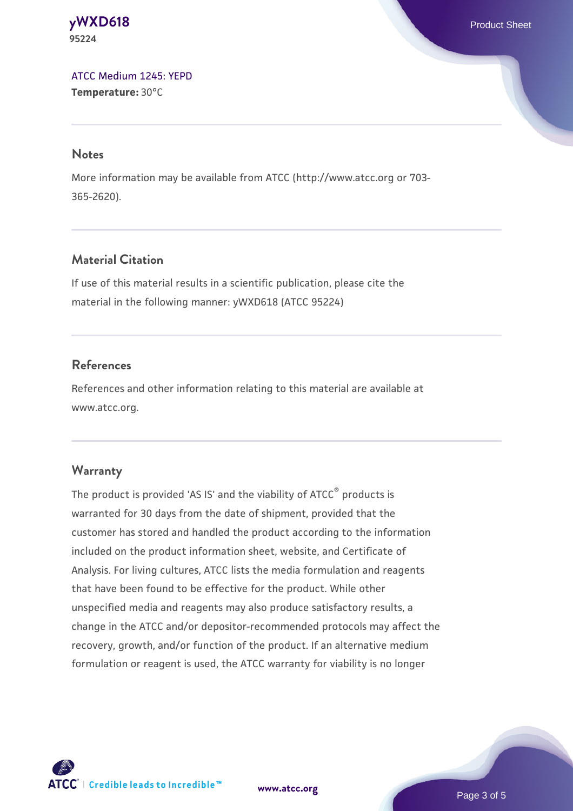**[yWXD618](https://www.atcc.org/products/95224)** Product Sheet **95224**

[ATCC Medium 1245: YEPD](https://www.atcc.org/-/media/product-assets/documents/microbial-media-formulations/1/2/4/5/atcc-medium-1245.pdf?rev=705ca55d1b6f490a808a965d5c072196) **Temperature:** 30°C

#### **Notes**

More information may be available from ATCC (http://www.atcc.org or 703- 365-2620).

## **Material Citation**

If use of this material results in a scientific publication, please cite the material in the following manner: yWXD618 (ATCC 95224)

#### **References**

References and other information relating to this material are available at www.atcc.org.

#### **Warranty**

The product is provided 'AS IS' and the viability of ATCC® products is warranted for 30 days from the date of shipment, provided that the customer has stored and handled the product according to the information included on the product information sheet, website, and Certificate of Analysis. For living cultures, ATCC lists the media formulation and reagents that have been found to be effective for the product. While other unspecified media and reagents may also produce satisfactory results, a change in the ATCC and/or depositor-recommended protocols may affect the recovery, growth, and/or function of the product. If an alternative medium formulation or reagent is used, the ATCC warranty for viability is no longer



**[www.atcc.org](http://www.atcc.org)**

Page 3 of 5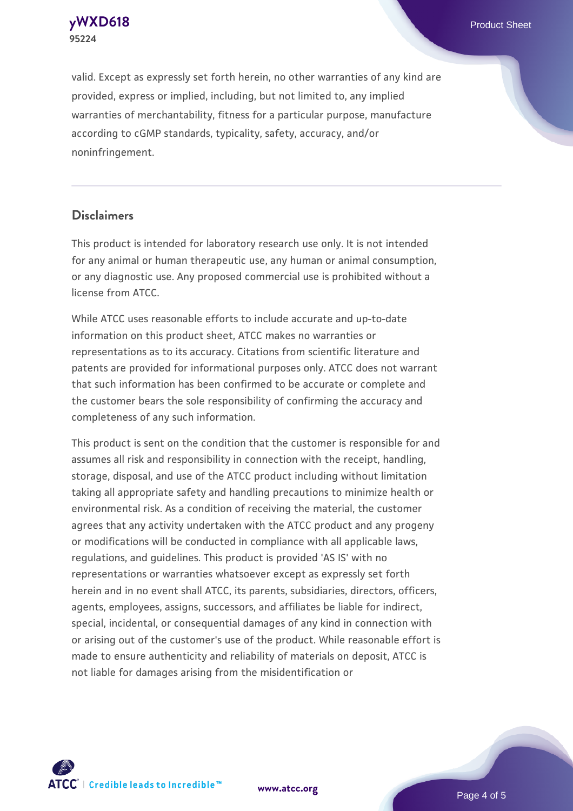**[yWXD618](https://www.atcc.org/products/95224)** Product Sheet **95224**

valid. Except as expressly set forth herein, no other warranties of any kind are provided, express or implied, including, but not limited to, any implied warranties of merchantability, fitness for a particular purpose, manufacture according to cGMP standards, typicality, safety, accuracy, and/or noninfringement.

#### **Disclaimers**

This product is intended for laboratory research use only. It is not intended for any animal or human therapeutic use, any human or animal consumption, or any diagnostic use. Any proposed commercial use is prohibited without a license from ATCC.

While ATCC uses reasonable efforts to include accurate and up-to-date information on this product sheet, ATCC makes no warranties or representations as to its accuracy. Citations from scientific literature and patents are provided for informational purposes only. ATCC does not warrant that such information has been confirmed to be accurate or complete and the customer bears the sole responsibility of confirming the accuracy and completeness of any such information.

This product is sent on the condition that the customer is responsible for and assumes all risk and responsibility in connection with the receipt, handling, storage, disposal, and use of the ATCC product including without limitation taking all appropriate safety and handling precautions to minimize health or environmental risk. As a condition of receiving the material, the customer agrees that any activity undertaken with the ATCC product and any progeny or modifications will be conducted in compliance with all applicable laws, regulations, and guidelines. This product is provided 'AS IS' with no representations or warranties whatsoever except as expressly set forth herein and in no event shall ATCC, its parents, subsidiaries, directors, officers, agents, employees, assigns, successors, and affiliates be liable for indirect, special, incidental, or consequential damages of any kind in connection with or arising out of the customer's use of the product. While reasonable effort is made to ensure authenticity and reliability of materials on deposit, ATCC is not liable for damages arising from the misidentification or



**[www.atcc.org](http://www.atcc.org)**

Page 4 of 5